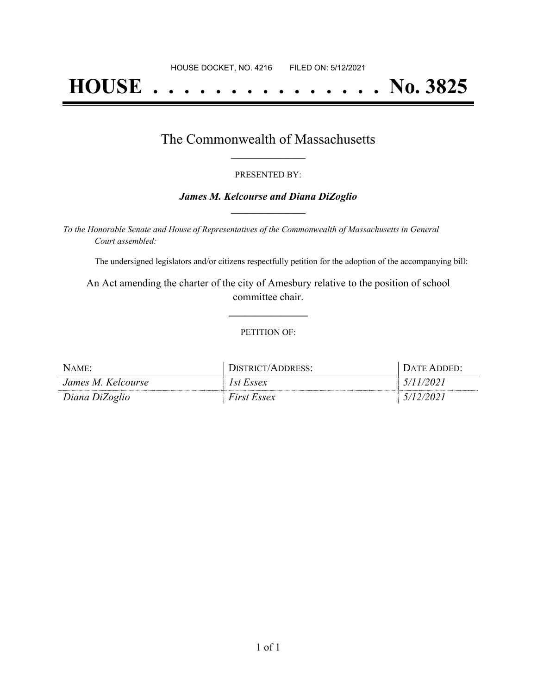# **HOUSE . . . . . . . . . . . . . . . No. 3825**

### The Commonwealth of Massachusetts **\_\_\_\_\_\_\_\_\_\_\_\_\_\_\_\_\_**

#### PRESENTED BY:

#### *James M. Kelcourse and Diana DiZoglio* **\_\_\_\_\_\_\_\_\_\_\_\_\_\_\_\_\_**

*To the Honorable Senate and House of Representatives of the Commonwealth of Massachusetts in General Court assembled:*

The undersigned legislators and/or citizens respectfully petition for the adoption of the accompanying bill:

An Act amending the charter of the city of Amesbury relative to the position of school committee chair.

**\_\_\_\_\_\_\_\_\_\_\_\_\_\_\_**

#### PETITION OF:

| $N$ AME:           | DISTRICT/ADDRESS:  | <b>I DATE ADDED:</b> |
|--------------------|--------------------|----------------------|
| James M. Kelcourse | 1st Essex          | 5/11/2021            |
| Diana DiZoglio     | <i>First Essex</i> | 5/12/2021            |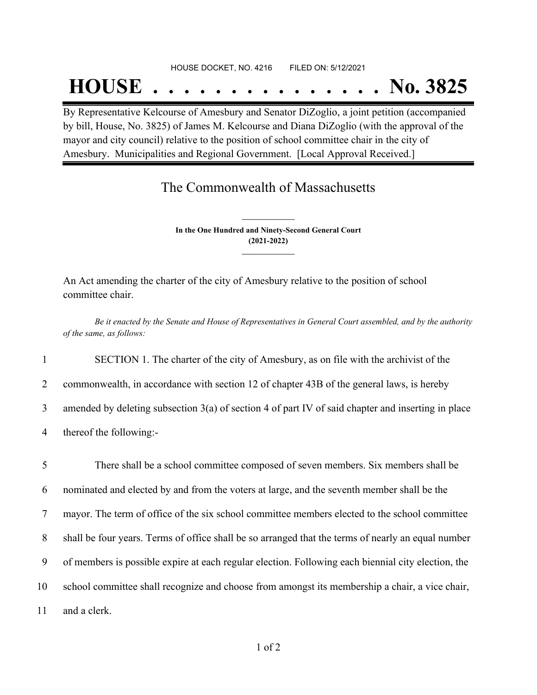#### HOUSE DOCKET, NO. 4216 FILED ON: 5/12/2021

## **HOUSE . . . . . . . . . . . . . . . No. 3825**

By Representative Kelcourse of Amesbury and Senator DiZoglio, a joint petition (accompanied by bill, House, No. 3825) of James M. Kelcourse and Diana DiZoglio (with the approval of the mayor and city council) relative to the position of school committee chair in the city of Amesbury. Municipalities and Regional Government. [Local Approval Received.]

## The Commonwealth of Massachusetts

**In the One Hundred and Ninety-Second General Court (2021-2022) \_\_\_\_\_\_\_\_\_\_\_\_\_\_\_**

**\_\_\_\_\_\_\_\_\_\_\_\_\_\_\_**

An Act amending the charter of the city of Amesbury relative to the position of school committee chair.

Be it enacted by the Senate and House of Representatives in General Court assembled, and by the authority *of the same, as follows:*

1 SECTION 1. The charter of the city of Amesbury, as on file with the archivist of the

2 commonwealth, in accordance with section 12 of chapter 43B of the general laws, is hereby

3 amended by deleting subsection 3(a) of section 4 of part IV of said chapter and inserting in place

4 thereof the following:-

 There shall be a school committee composed of seven members. Six members shall be nominated and elected by and from the voters at large, and the seventh member shall be the mayor. The term of office of the six school committee members elected to the school committee shall be four years. Terms of office shall be so arranged that the terms of nearly an equal number of members is possible expire at each regular election. Following each biennial city election, the school committee shall recognize and choose from amongst its membership a chair, a vice chair, and a clerk.